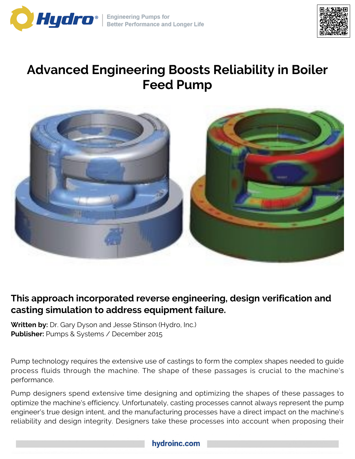



# **Advanced Engineering Boosts Reliability in Boiler Feed Pump**



# **This approach incorporated reverse engineering, design verification and casting simulation to address equipment failure.**

**Written by:** Dr. Gary Dyson and Jesse Stinson (Hydro, Inc.) **Publisher:** Pumps & Systems / December 2015

Pump technology requires the extensive use of castings to form the complex shapes needed to guide process fluids through the machine. The shape of these passages is crucial to the machine's performance.

Pump designers spend extensive time designing and optimizing the shapes of these passages to optimize the machine's efficiency. Unfortunately, casting processes cannot always represent the pump engineer's true design intent, and the manufacturing processes have a direct impact on the machine's reliability and design integrity. Designers take these processes into account when proposing their

## hydroinc.com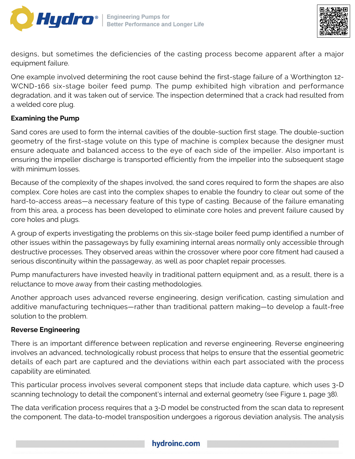



designs, but sometimes the deficiencies of the casting process become apparent after a major equipment failure.

One example involved determining the root cause behind the first-stage failure of a Worthington 12- WCND-166 six-stage boiler feed pump. The pump exhibited high vibration and performance degradation, and it was taken out of service. The inspection determined that a crack had resulted from a welded core plug.

#### **Examining the Pump**

Sand cores are used to form the internal cavities of the double-suction first stage. The double-suction geometry of the first-stage volute on this type of machine is complex because the designer must ensure adequate and balanced access to the eye of each side of the impeller. Also important is ensuring the impeller discharge is transported efficiently from the impeller into the subsequent stage with minimum losses.

Because of the complexity of the shapes involved, the sand cores required to form the shapes are also complex. Core holes are cast into the complex shapes to enable the foundry to clear out some of the hard-to-access areas—a necessary feature of this type of casting. Because of the failure emanating from this area, a process has been developed to eliminate core holes and prevent failure caused by core holes and plugs.

A group of experts investigating the problems on this six-stage boiler feed pump identified a number of other issues within the passageways by fully examining internal areas normally only accessible through destructive processes. They observed areas within the crossover where poor core fitment had caused a serious discontinuity within the passageway, as well as poor chaplet repair processes.

Pump manufacturers have invested heavily in traditional pattern equipment and, as a result, there is a reluctance to move away from their casting methodologies.

Another approach uses advanced reverse engineering, design verification, casting simulation and additive manufacturing techniques—rather than traditional pattern making—to develop a fault-free solution to the problem.

#### **Reverse Engineering**

There is an important difference between replication and reverse engineering. Reverse engineering involves an advanced, technologically robust process that helps to ensure that the essential geometric details of each part are captured and the deviations within each part associated with the process capability are eliminated.

This particular process involves several component steps that include data capture, which uses 3-D scanning technology to detail the component's internal and external geometry (see Figure 1, page 38).

The data verification process requires that a 3-D model be constructed from the scan data to represent the component. The data-to-model transposition undergoes a rigorous deviation analysis. The analysis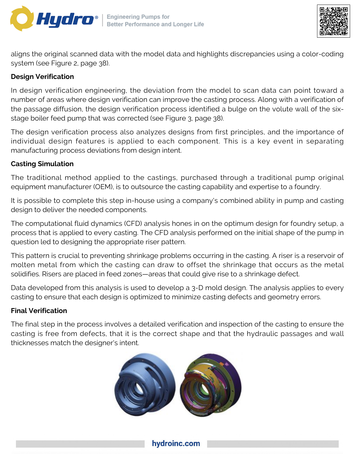



aligns the original scanned data with the model data and highlights discrepancies using a color-coding system (see Figure 2, page 38).

### **Design Verification**

In design verification engineering, the deviation from the model to scan data can point toward a number of areas where design verification can improve the casting process. Along with a verification of the passage diffusion, the design verification process identified a bulge on the volute wall of the sixstage boiler feed pump that was corrected (see Figure 3, page 38).

The design verification process also analyzes designs from first principles, and the importance of individual design features is applied to each component. This is a key event in separating manufacturing process deviations from design intent.

#### **Casting Simulation**

The traditional method applied to the castings, purchased through a traditional pump original equipment manufacturer (OEM), is to outsource the casting capability and expertise to a foundry.

It is possible to complete this step in-house using a company's combined ability in pump and casting design to deliver the needed components.

The computational fluid dynamics (CFD) analysis hones in on the optimum design for foundry setup, a process that is applied to every casting. The CFD analysis performed on the initial shape of the pump in question led to designing the appropriate riser pattern.

This pattern is crucial to preventing shrinkage problems occurring in the casting. A riser is a reservoir of molten metal from which the casting can draw to offset the shrinkage that occurs as the metal solidifies. Risers are placed in feed zones—areas that could give rise to a shrinkage defect.

Data developed from this analysis is used to develop a 3-D mold design. The analysis applies to every casting to ensure that each design is optimized to minimize casting defects and geometry errors.

#### **Final Verification**

The final step in the process involves a detailed verification and inspection of the casting to ensure the casting is free from defects, that it is the correct shape and that the hydraulic passages and wall thicknesses match the designer's intent.